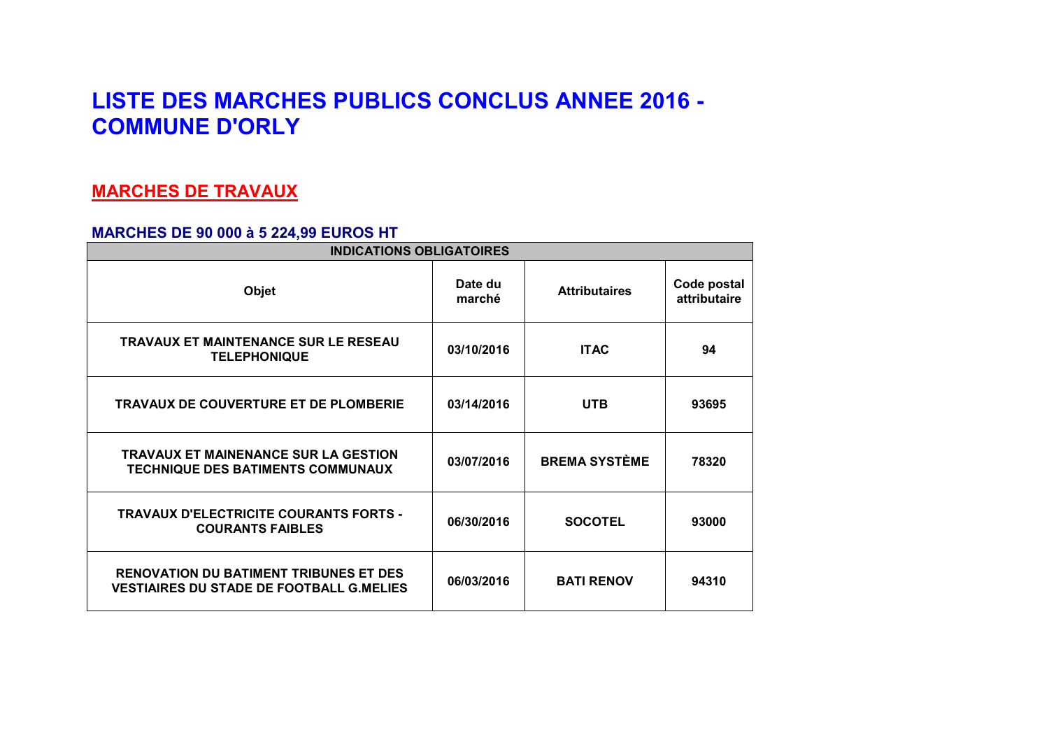# **LISTE DES MARCHES PUBLICS CONCLUS ANNEE 2016 - COMMUNE D'ORLY**

## **MARCHES DE TRAVAUX**

### **MARCHES DE 90 000 à 5 224,99 EUROS HT**

| <b>INDICATIONS OBLIGATOIRES</b>                                                                  |                   |                      |                             |  |
|--------------------------------------------------------------------------------------------------|-------------------|----------------------|-----------------------------|--|
| <b>Objet</b>                                                                                     | Date du<br>marché | <b>Attributaires</b> | Code postal<br>attributaire |  |
| <b>TRAVAUX ET MAINTENANCE SUR LE RESEAU</b><br><b>TELEPHONIQUE</b>                               | 03/10/2016        | <b>ITAC</b>          | 94                          |  |
| <b>TRAVAUX DE COUVERTURE ET DE PLOMBERIE</b>                                                     | 03/14/2016        | <b>UTB</b>           | 93695                       |  |
| <b>TRAVAUX ET MAINENANCE SUR LA GESTION</b><br>TECHNIQUE DES BATIMENTS COMMUNAUX                 | 03/07/2016        | <b>BREMA SYSTÈME</b> | 78320                       |  |
| <b>TRAVAUX D'ELECTRICITE COURANTS FORTS -</b><br><b>COURANTS FAIBLES</b>                         | 06/30/2016        | <b>SOCOTEL</b>       | 93000                       |  |
| <b>RENOVATION DU BATIMENT TRIBUNES ET DES</b><br><b>VESTIAIRES DU STADE DE FOOTBALL G.MELIES</b> | 06/03/2016        | <b>BATI RENOV</b>    | 94310                       |  |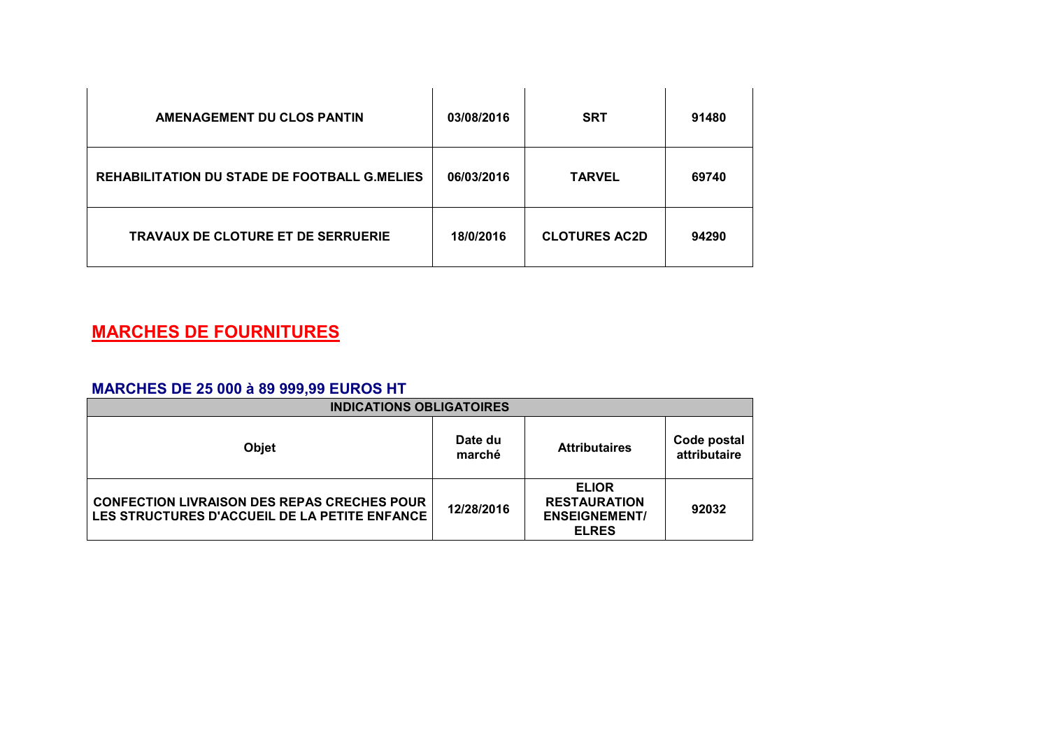| <b>AMENAGEMENT DU CLOS PANTIN</b>                   | 03/08/2016 | <b>SRT</b>           | 91480 |
|-----------------------------------------------------|------------|----------------------|-------|
| <b>REHABILITATION DU STADE DE FOOTBALL G.MELIES</b> | 06/03/2016 | <b>TARVEL</b>        | 69740 |
| <b>TRAVAUX DE CLOTURE ET DE SERRUERIE</b>           | 18/0/2016  | <b>CLOTURES AC2D</b> | 94290 |

# **MARCHES DE FOURNITURES**

### **MARCHES DE 25 000 à 89 999,99 EUROS HT**

| <b>INDICATIONS OBLIGATOIRES</b>                                                                     |                   |                                                                             |                             |
|-----------------------------------------------------------------------------------------------------|-------------------|-----------------------------------------------------------------------------|-----------------------------|
| Objet                                                                                               | Date du<br>marché | <b>Attributaires</b>                                                        | Code postal<br>attributaire |
| <b>CONFECTION LIVRAISON DES REPAS CRECHES POUR</b><br>LES STRUCTURES D'ACCUEIL DE LA PETITE ENFANCE | 12/28/2016        | <b>ELIOR</b><br><b>RESTAURATION</b><br><b>ENSEIGNEMENT/</b><br><b>ELRES</b> | 92032                       |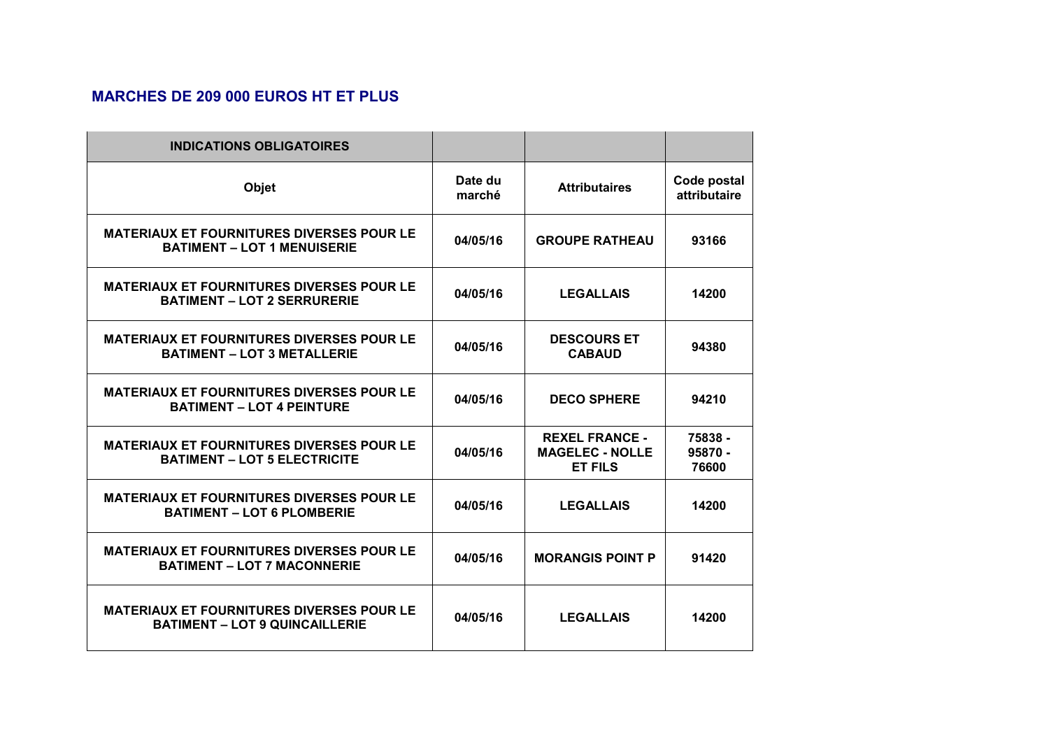### **MARCHES DE 209 000 EUROS HT ET PLUS**

| <b>INDICATIONS OBLIGATOIRES</b>                                                           |                   |                                                                   |                             |
|-------------------------------------------------------------------------------------------|-------------------|-------------------------------------------------------------------|-----------------------------|
| Objet                                                                                     | Date du<br>marché | <b>Attributaires</b>                                              | Code postal<br>attributaire |
| <b>MATERIAUX ET FOURNITURES DIVERSES POUR LE</b><br><b>BATIMENT - LOT 1 MENUISERIE</b>    | 04/05/16          | <b>GROUPE RATHEAU</b>                                             | 93166                       |
| <b>MATERIAUX ET FOURNITURES DIVERSES POUR LE</b><br><b>BATIMENT - LOT 2 SERRURERIE</b>    | 04/05/16          | <b>LEGALLAIS</b>                                                  | 14200                       |
| <b>MATERIAUX ET FOURNITURES DIVERSES POUR LE</b><br><b>BATIMENT - LOT 3 METALLERIE</b>    | 04/05/16          | <b>DESCOURS ET</b><br><b>CABAUD</b>                               | 94380                       |
| <b>MATERIAUX ET FOURNITURES DIVERSES POUR LE</b><br><b>BATIMENT - LOT 4 PEINTURE</b>      | 04/05/16          | <b>DECO SPHERE</b>                                                | 94210                       |
| <b>MATERIAUX ET FOURNITURES DIVERSES POUR LE</b><br><b>BATIMENT - LOT 5 ELECTRICITE</b>   | 04/05/16          | <b>REXEL FRANCE -</b><br><b>MAGELEC - NOLLE</b><br><b>ET FILS</b> | 75838 -<br>95870 -<br>76600 |
| <b>MATERIAUX ET FOURNITURES DIVERSES POUR LE</b><br><b>BATIMENT - LOT 6 PLOMBERIE</b>     | 04/05/16          | <b>LEGALLAIS</b>                                                  | 14200                       |
| <b>MATERIAUX ET FOURNITURES DIVERSES POUR LE</b><br><b>BATIMENT - LOT 7 MACONNERIE</b>    | 04/05/16          | <b>MORANGIS POINT P</b>                                           | 91420                       |
| <b>MATERIAUX ET FOURNITURES DIVERSES POUR LE</b><br><b>BATIMENT - LOT 9 QUINCAILLERIE</b> | 04/05/16          | <b>LEGALLAIS</b>                                                  | 14200                       |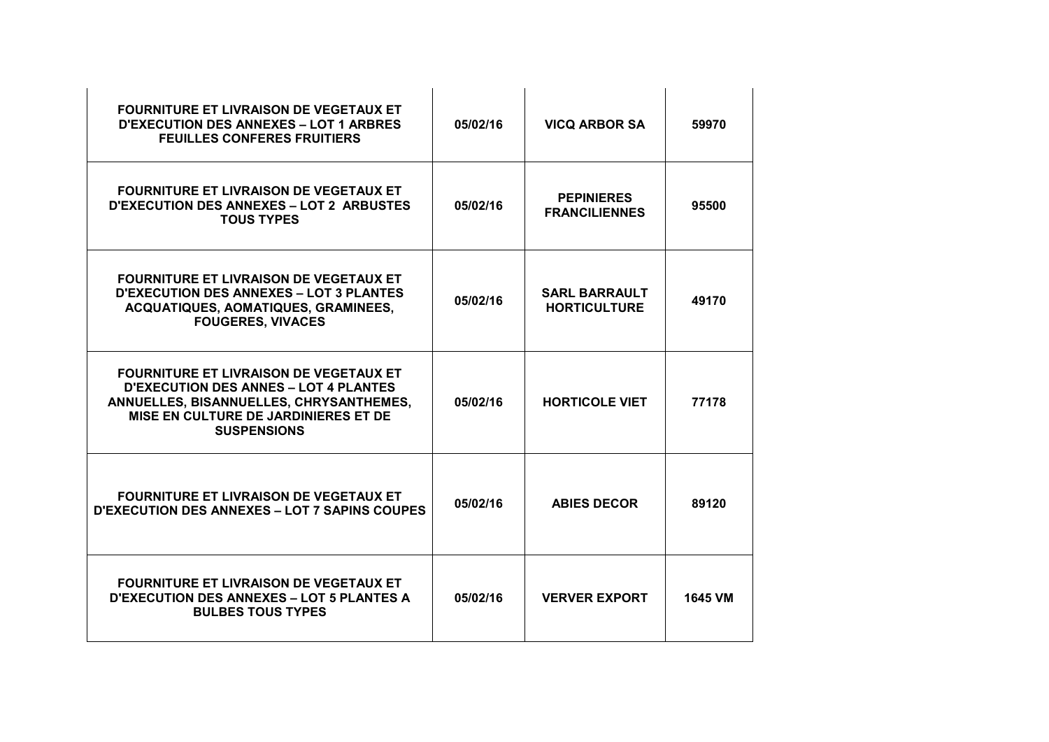| <b>FOURNITURE ET LIVRAISON DE VEGETAUX ET</b><br><b>D'EXECUTION DES ANNEXES - LOT 1 ARBRES</b><br><b>FEUILLES CONFERES FRUITIERS</b>                                                                   | 05/02/16 | <b>VICQ ARBOR SA</b>                        | 59970   |
|--------------------------------------------------------------------------------------------------------------------------------------------------------------------------------------------------------|----------|---------------------------------------------|---------|
| <b>FOURNITURE ET LIVRAISON DE VEGETAUX ET</b><br><b>D'EXECUTION DES ANNEXES - LOT 2 ARBUSTES</b><br><b>TOUS TYPES</b>                                                                                  | 05/02/16 | <b>PEPINIERES</b><br><b>FRANCILIENNES</b>   | 95500   |
| <b>FOURNITURE ET LIVRAISON DE VEGETAUX ET</b><br><b>D'EXECUTION DES ANNEXES - LOT 3 PLANTES</b><br>ACQUATIQUES, AOMATIQUES, GRAMINEES,<br><b>FOUGERES, VIVACES</b>                                     | 05/02/16 | <b>SARL BARRAULT</b><br><b>HORTICULTURE</b> | 49170   |
| <b>FOURNITURE ET LIVRAISON DE VEGETAUX ET</b><br><b>D'EXECUTION DES ANNES - LOT 4 PLANTES</b><br>ANNUELLES, BISANNUELLES, CHRYSANTHEMES,<br>MISE EN CULTURE DE JARDINIERES ET DE<br><b>SUSPENSIONS</b> | 05/02/16 | <b>HORTICOLE VIET</b>                       | 77178   |
| <b>FOURNITURE ET LIVRAISON DE VEGETAUX ET</b><br><b>D'EXECUTION DES ANNEXES - LOT 7 SAPINS COUPES</b>                                                                                                  | 05/02/16 | <b>ABIES DECOR</b>                          | 89120   |
| <b>FOURNITURE ET LIVRAISON DE VEGETAUX ET</b><br><b>D'EXECUTION DES ANNEXES - LOT 5 PLANTES A</b><br><b>BULBES TOUS TYPES</b>                                                                          | 05/02/16 | <b>VERVER EXPORT</b>                        | 1645 VM |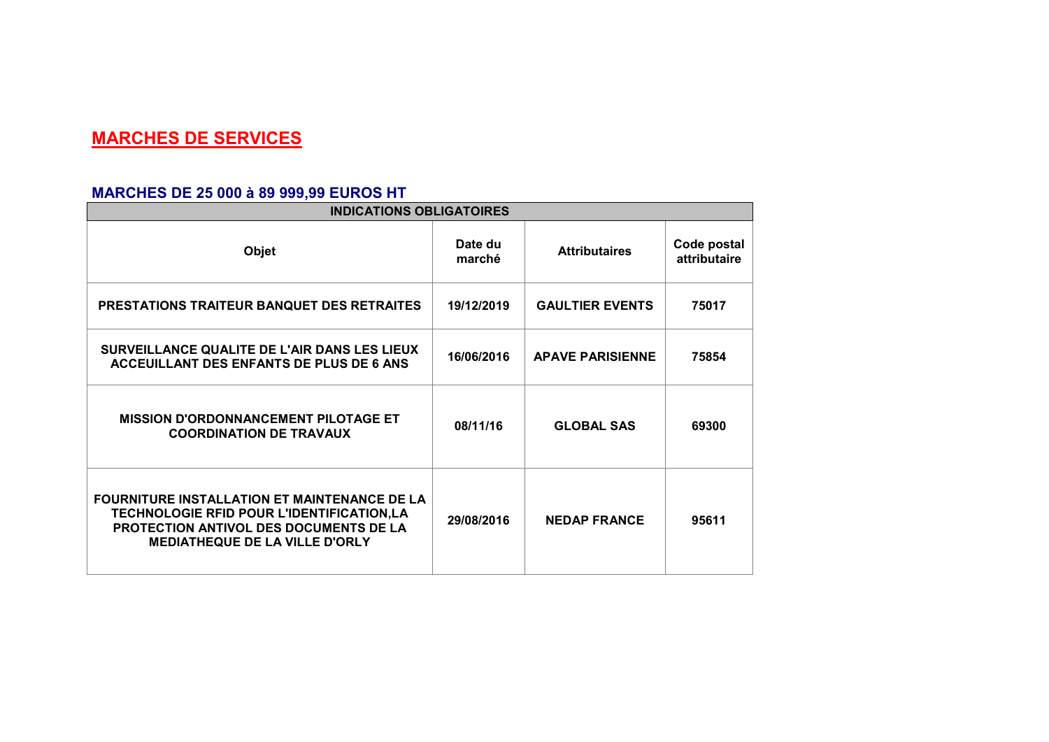# **MARCHES DE SERVICES**

### **MARCHES DE 25 000 à 89 999,99 EUROS HT**

| <b>INDICATIONS OBLIGATOIRES</b>                                                                                                                                                            |                   |                         |                             |  |
|--------------------------------------------------------------------------------------------------------------------------------------------------------------------------------------------|-------------------|-------------------------|-----------------------------|--|
| Objet                                                                                                                                                                                      | Date du<br>marché | <b>Attributaires</b>    | Code postal<br>attributaire |  |
| <b>PRESTATIONS TRAITEUR BANQUET DES RETRAITES</b>                                                                                                                                          | 19/12/2019        | <b>GAULTIER EVENTS</b>  | 75017                       |  |
| SURVEILLANCE QUALITE DE L'AIR DANS LES LIEUX<br>ACCEUILLANT DES ENFANTS DE PLUS DE 6 ANS                                                                                                   | 16/06/2016        | <b>APAVE PARISIENNE</b> | 75854                       |  |
| <b>MISSION D'ORDONNANCEMENT PILOTAGE ET</b><br><b>COORDINATION DE TRAVAUX</b>                                                                                                              | 08/11/16          | <b>GLOBAL SAS</b>       | 69300                       |  |
| <b>FOURNITURE INSTALLATION ET MAINTENANCE DE LA</b><br>TECHNOLOGIE RFID POUR L'IDENTIFICATION,LA<br><b>PROTECTION ANTIVOL DES DOCUMENTS DE LA</b><br><b>MEDIATHEQUE DE LA VILLE D'ORLY</b> | 29/08/2016        | <b>NEDAP FRANCE</b>     | 95611                       |  |